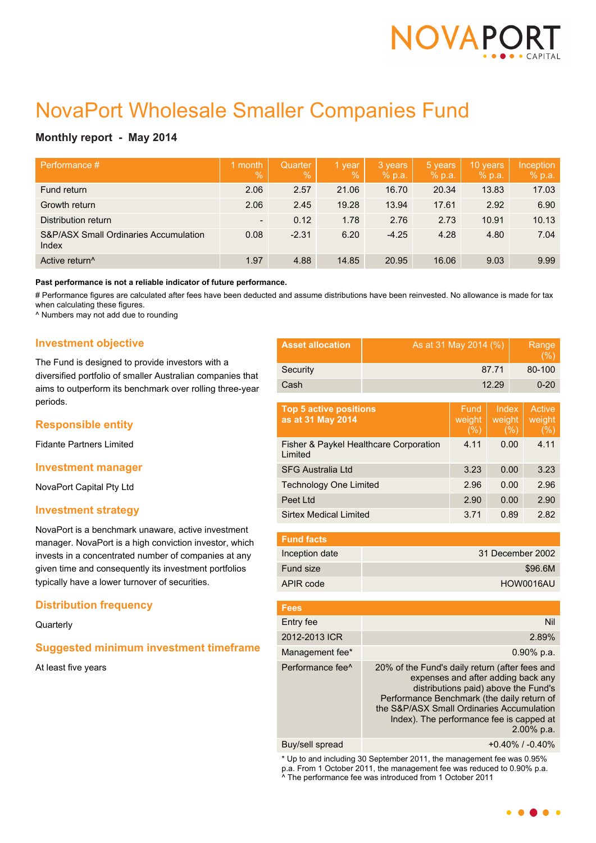

# NovaPort Wholesale Smaller Companies Fund

## **Monthly report - May 2014**

| Performance #                                             | month<br>$\overline{Q}_0$ | <b>Quarter</b><br>$\%$ | 1 year<br>$\frac{9}{6}$ | 3 years<br>% p.a. | 5 years<br>% p.a. | 10 years<br>% p.a. | Inception<br>% p.a. |
|-----------------------------------------------------------|---------------------------|------------------------|-------------------------|-------------------|-------------------|--------------------|---------------------|
| Fund return                                               | 2.06                      | 2.57                   | 21.06                   | 16.70             | 20.34             | 13.83              | 17.03               |
| Growth return                                             | 2.06                      | 2.45                   | 19.28                   | 13.94             | 17.61             | 2.92               | 6.90                |
| Distribution return                                       | $\blacksquare$            | 0.12                   | 1.78                    | 2.76              | 2.73              | 10.91              | 10.13               |
| <b>S&amp;P/ASX Small Ordinaries Accumulation</b><br>Index | 0.08                      | $-2.31$                | 6.20                    | $-4.25$           | 4.28              | 4.80               | 7.04                |
| Active return <sup>^</sup>                                | 1.97                      | 4.88                   | 14.85                   | 20.95             | 16.06             | 9.03               | 9.99                |

**Past performance is not a reliable indicator of future performance.**

# Performance figures are calculated after fees have been deducted and assume distributions have been reinvested. No allowance is made for tax when calculating these figures.

^ Numbers may not add due to rounding

## **Investment objective**

The Fund is designed to provide investors with a diversified portfolio of smaller Australian companies that aims to outperform its benchmark over rolling three-year periods.

## **Responsible entity**

Fidante Partners Limited

### **Investment manager**

NovaPort Capital Pty Ltd

### **Investment strategy**

NovaPort is a benchmark unaware, active investment manager. NovaPort is a high conviction investor, which invests in a concentrated number of companies at any given time and consequently its investment portfolios typically have a lower turnover of securities.

## **Distribution frequency**

**Quarterly** 

## **Suggested minimum investment timeframe**

At least five years

| <b>Asset allocation</b> | As at 31 May 2014 (%) | Range<br>(% ) |
|-------------------------|-----------------------|---------------|
| Security                | 87.71                 | 80-100        |
| Cash                    | 12.29                 | $0 - 20$      |

| <b>Top 5 active positions</b><br>as at 31 May 2014 | Fund<br>weight<br>(% ) | Index<br>weight<br>(%) | Active<br>weight<br>(%) |
|----------------------------------------------------|------------------------|------------------------|-------------------------|
| Fisher & Paykel Healthcare Corporation<br>Limited  | 4.11                   | 0.00                   | 4.11                    |
| <b>SFG Australia Ltd</b>                           | 3.23                   | 0.00                   | 3.23                    |
| <b>Technology One Limited</b>                      | 2.96                   | 0.00                   | 2.96                    |
| Peet Ltd                                           | 2.90                   | 0.00                   | 2.90                    |
| Sirtex Medical Limited                             | 3.71                   | 0.89                   | 2.82                    |

| <b>Fund facts</b> |                  |
|-------------------|------------------|
| Inception date    | 31 December 2002 |
| Fund size         | \$96.6M          |
| APIR code         | HOW0016AU        |

| <b>Fees</b>                  |                                                                                                                                                                                                                                                                                      |
|------------------------------|--------------------------------------------------------------------------------------------------------------------------------------------------------------------------------------------------------------------------------------------------------------------------------------|
| Entry fee                    | Nil                                                                                                                                                                                                                                                                                  |
| 2012-2013 ICR                | 2.89%                                                                                                                                                                                                                                                                                |
| Management fee*              | $0.90\%$ p.a.                                                                                                                                                                                                                                                                        |
| Performance fee <sup>^</sup> | 20% of the Fund's daily return (after fees and<br>expenses and after adding back any<br>distributions paid) above the Fund's<br>Performance Benchmark (the daily return of<br>the S&P/ASX Small Ordinaries Accumulation<br>Index). The performance fee is capped at<br>$2.00\%$ p.a. |
|                              |                                                                                                                                                                                                                                                                                      |

Buy/sell spread +0.40% / -0.40%

\* Up to and including 30 September 2011, the management fee was 0.95% p.a. From 1 October 2011, the management fee was reduced to 0.90% p.a. ^ The performance fee was introduced from 1 October 2011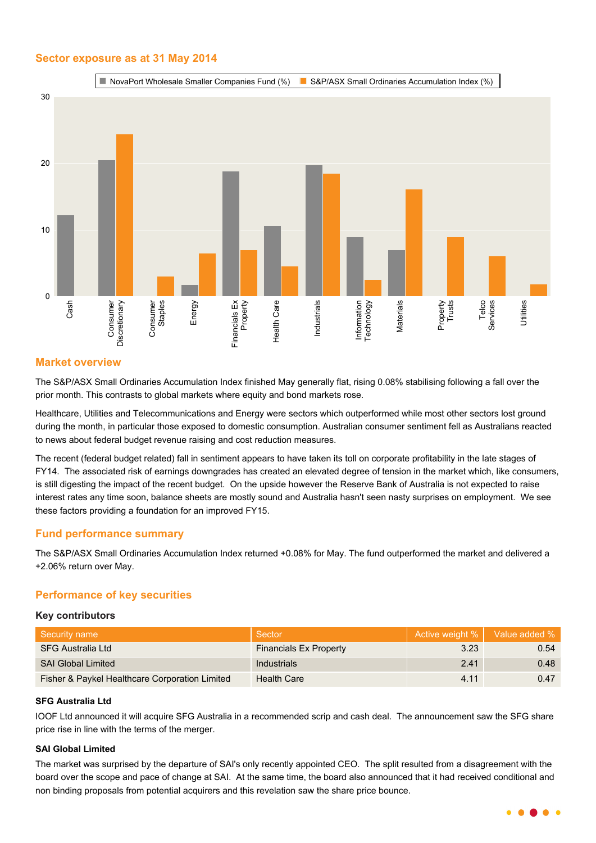## **Sector exposure as at 31 May 2014**



## **Market overview**

The S&P/ASX Small Ordinaries Accumulation Index finished May generally flat, rising 0.08% stabilising following a fall over the prior month. This contrasts to global markets where equity and bond markets rose.

Healthcare, Utilities and Telecommunications and Energy were sectors which outperformed while most other sectors lost ground during the month, in particular those exposed to domestic consumption. Australian consumer sentiment fell as Australians reacted to news about federal budget revenue raising and cost reduction measures.

The recent (federal budget related) fall in sentiment appears to have taken its toll on corporate profitability in the late stages of FY14. The associated risk of earnings downgrades has created an elevated degree of tension in the market which, like consumers, is still digesting the impact of the recent budget. On the upside however the Reserve Bank of Australia is not expected to raise interest rates any time soon, balance sheets are mostly sound and Australia hasn't seen nasty surprises on employment. We see these factors providing a foundation for an improved FY15.

## **Fund performance summary**

The S&P/ASX Small Ordinaries Accumulation Index returned +0.08% for May. The fund outperformed the market and delivered a +2.06% return over May.

## **Performance of key securities**

#### **Key contributors**

| Security name                                  | Sector                        |      | Active weight %   Value added % |
|------------------------------------------------|-------------------------------|------|---------------------------------|
| SFG Australia Ltd                              | <b>Financials Ex Property</b> | 3.23 | 0.54                            |
| <b>SAI Global Limited</b>                      | <b>Industrials</b>            | 2.41 | 0.48                            |
| Fisher & Paykel Healthcare Corporation Limited | <b>Health Care</b>            | 4.11 | 0.47                            |

## **SFG Australia Ltd**

IOOF Ltd announced it will acquire SFG Australia in a recommended scrip and cash deal. The announcement saw the SFG share price rise in line with the terms of the merger.

## **SAI Global Limited**

The market was surprised by the departure of SAI's only recently appointed CEO. The split resulted from a disagreement with the board over the scope and pace of change at SAI. At the same time, the board also announced that it had received conditional and non binding proposals from potential acquirers and this revelation saw the share price bounce.